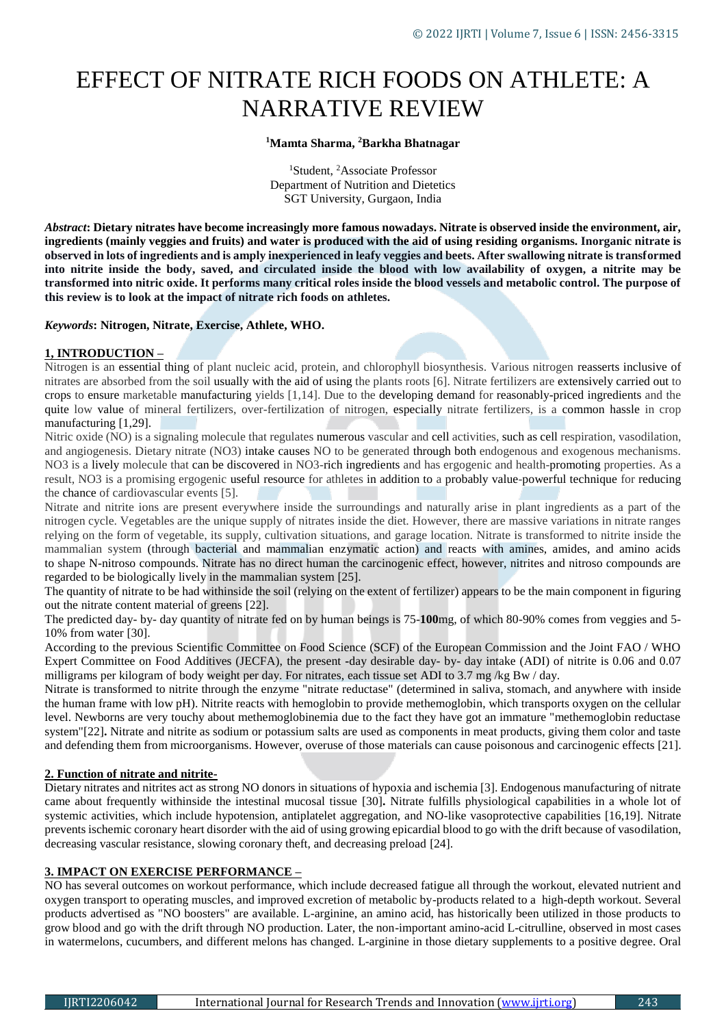# EFFECT OF NITRATE RICH FOODS ON ATHLETE: A NARRATIVE REVIEW

#### **<sup>1</sup>Mamta Sharma, <sup>2</sup>Barkha Bhatnagar**

<sup>1</sup>Student, <sup>2</sup>Associate Professor Department of Nutrition and Dietetics SGT University, Gurgaon, India

*Abstract***: Dietary nitrates have become increasingly more famous nowadays. Nitrate is observed inside the environment, air, ingredients (mainly veggies and fruits) and water is produced with the aid of using residing organisms. Inorganic nitrate is observed in lots of ingredients and is amply inexperienced in leafy veggies and beets. After swallowing nitrate is transformed into nitrite inside the body, saved, and circulated inside the blood with low availability of oxygen, a nitrite may be transformed into nitric oxide. It performs many critical roles inside the blood vessels and metabolic control. The purpose of this review is to look at the impact of nitrate rich foods on athletes.**

#### *Keywords***: Nitrogen, Nitrate, Exercise, Athlete, WHO.**

### **1, INTRODUCTION –**

Nitrogen is an essential thing of plant nucleic acid, protein, and chlorophyll biosynthesis. Various nitrogen reasserts inclusive of nitrates are absorbed from the soil usually with the aid of using the plants roots [6]. Nitrate fertilizers are extensively carried out to crops to ensure marketable manufacturing yields [1,14]. Due to the developing demand for reasonably-priced ingredients and the quite low value of mineral fertilizers, over-fertilization of nitrogen, especially nitrate fertilizers, is a common hassle in crop manufacturing [1,29].

Nitric oxide (NO) is a signaling molecule that regulates numerous vascular and cell activities, such as cell respiration, vasodilation, and angiogenesis. Dietary nitrate (NO3) intake causes NO to be generated through both endogenous and exogenous mechanisms. NO3 is a lively molecule that can be discovered in NO3-rich ingredients and has ergogenic and health-promoting properties. As a result, NO3 is a promising ergogenic useful resource for athletes in addition to a probably value-powerful technique for reducing the chance of cardiovascular events [5].

Nitrate and nitrite ions are present everywhere inside the surroundings and naturally arise in plant ingredients as a part of the nitrogen cycle. Vegetables are the unique supply of nitrates inside the diet. However, there are massive variations in nitrate ranges relying on the form of vegetable, its supply, cultivation situations, and garage location. Nitrate is transformed to nitrite inside the mammalian system (through bacterial and mammalian enzymatic action) and reacts with amines, amides, and amino acids to shape N-nitroso compounds. Nitrate has no direct human the carcinogenic effect, however, nitrites and nitroso compounds are regarded to be biologically lively in the mammalian system [25].

The quantity of nitrate to be had withinside the soil (relying on the extent of fertilizer) appears to be the main component in figuring out the nitrate content material of greens [22].

The predicted day- by- day quantity of nitrate fed on by human beings is 75-**100**mg, of which 80-90% comes from veggies and 5- 10% from water [30].

According to the previous Scientific Committee on Food Science (SCF) of the European Commission and the Joint FAO / WHO Expert Committee on Food Additives (JECFA), the present **-**day desirable day- by- day intake (ADI) of nitrite is 0.06 and 0.07 milligrams per kilogram of body weight per day. For nitrates, each tissue set ADI to 3.7 mg /kg Bw / day.

Nitrate is transformed to nitrite through the enzyme "nitrate reductase" (determined in saliva, stomach, and anywhere with inside the human frame with low pH). Nitrite reacts with hemoglobin to provide methemoglobin, which transports oxygen on the cellular level. Newborns are very touchy about methemoglobinemia due to the fact they have got an immature "methemoglobin reductase system"[22]**.** Nitrate and nitrite as sodium or potassium salts are used as components in meat products, giving them color and taste and defending them from microorganisms. However, overuse of those materials can cause poisonous and carcinogenic effects [21].

## **2. Function of nitrate and nitrite-**

Dietary nitrates and nitrites act as strong NO donors in situations of hypoxia and ischemia [3]. Endogenous manufacturing of nitrate came about frequently withinside the intestinal mucosal tissue [30]**.** Nitrate fulfills physiological capabilities in a whole lot of systemic activities, which include hypotension, antiplatelet aggregation, and NO-like vasoprotective capabilities [16,19]. Nitrate prevents ischemic coronary heart disorder with the aid of using growing epicardial blood to go with the drift because of vasodilation, decreasing vascular resistance, slowing coronary theft, and decreasing preload [24].

### **3. IMPACT ON EXERCISE PERFORMANCE –**

NO has several outcomes on workout performance, which include decreased fatigue all through the workout, elevated nutrient and oxygen transport to operating muscles, and improved excretion of metabolic by-products related to a high-depth workout. Several products advertised as "NO boosters" are available. L-arginine, an amino acid, has historically been utilized in those products to grow blood and go with the drift through NO production. Later, the non-important amino-acid L-citrulline, observed in most cases in watermelons, cucumbers, and different melons has changed. L-arginine in those dietary supplements to a positive degree. Oral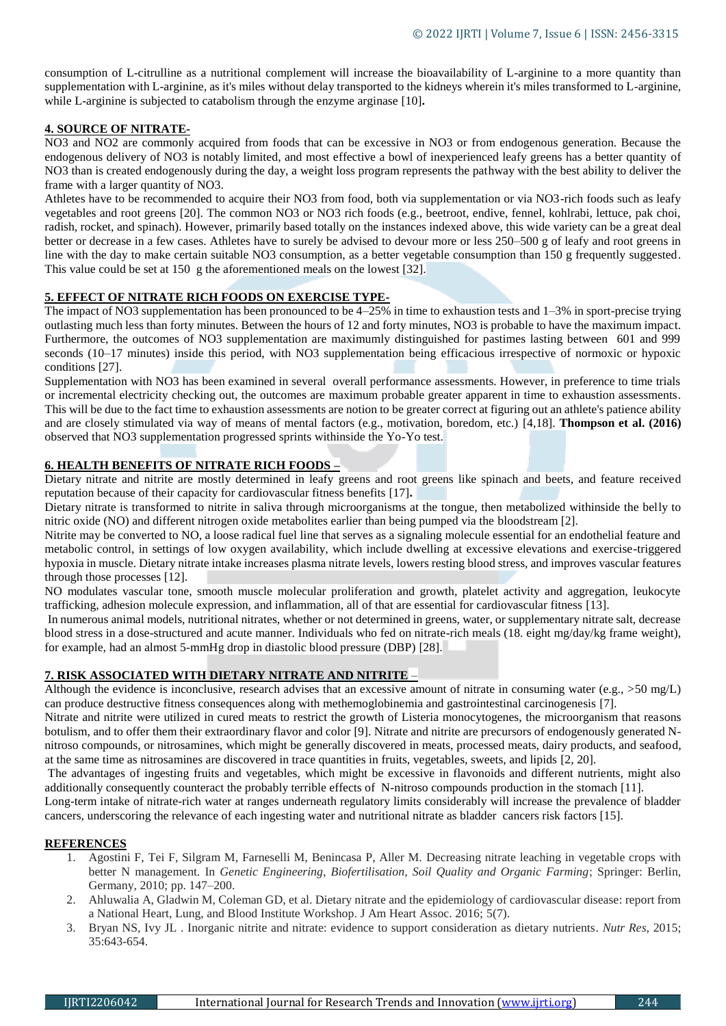consumption of L-citrulline as a nutritional complement will increase the bioavailability of L-arginine to a more quantity than supplementation with L-arginine, as it's miles without delay transported to the kidneys wherein it's miles transformed to L-arginine, while L-arginine is subjected to catabolism through the enzyme arginase [10].

### **4. SOURCE OF NITRATE-**

NO3 and NO2 are commonly acquired from foods that can be excessive in NO3 or from endogenous generation. Because the endogenous delivery of NO3 is notably limited, and most effective a bowl of inexperienced leafy greens has a better quantity of NO3 than is created endogenously during the day, a weight loss program represents the pathway with the best ability to deliver the frame with a larger quantity of NO3.

Athletes have to be recommended to acquire their NO3 from food, both via supplementation or via NO3-rich foods such as leafy vegetables and root greens [20]. The common NO3 or NO3 rich foods (e.g., beetroot, endive, fennel, kohlrabi, lettuce, pak choi, radish, rocket, and spinach). However, primarily based totally on the instances indexed above, this wide variety can be a great deal better or decrease in a few cases. Athletes have to surely be advised to devour more or less 250–500 g of leafy and root greens in line with the day to make certain suitable NO3 consumption, as a better vegetable consumption than 150 g frequently suggested. This value could be set at 150 g the aforementioned meals on the lowest [32].

#### **5. EFFECT OF NITRATE RICH FOODS ON EXERCISE TYPE-**

The impact of NO3 supplementation has been pronounced to be 4–25% in time to exhaustion tests and 1–3% in sport-precise trying outlasting much less than forty minutes. Between the hours of 12 and forty minutes, NO3 is probable to have the maximum impact. Furthermore, the outcomes of NO3 supplementation are maximumly distinguished for pastimes lasting between 601 and 999 seconds (10–17 minutes) inside this period, with NO3 supplementation being efficacious irrespective of normoxic or hypoxic conditions [27].

Supplementation with NO3 has been examined in several overall performance assessments. However, in preference to time trials or incremental electricity checking out, the outcomes are maximum probable greater apparent in time to exhaustion assessments. This will be due to the fact time to exhaustion assessments are notion to be greater correct at figuring out an athlete's patience ability and are closely stimulated via way of means of mental factors (e.g., motivation, boredom, etc.) [4,18]. **Thompson et al. (2016)** observed that NO3 supplementation progressed sprints withinside the Yo-Yo test.

## **6. HEALTH BENEFITS OF NITRATE RICH FOODS –**

Dietary nitrate and nitrite are mostly determined in leafy greens and root greens like spinach and beets, and feature received reputation because of their capacity for cardiovascular fitness benefits [17]**.** 

Dietary nitrate is transformed to nitrite in saliva through microorganisms at the tongue, then metabolized withinside the belly to nitric oxide (NO) and different nitrogen oxide metabolites earlier than being pumped via the bloodstream [2].

Nitrite may be converted to NO, a loose radical fuel line that serves as a signaling molecule essential for an endothelial feature and metabolic control, in settings of low oxygen availability, which include dwelling at excessive elevations and exercise-triggered hypoxia in muscle. Dietary nitrate intake increases plasma nitrate levels, lowers resting blood stress, and improves vascular features through those processes [12].

NO modulates vascular tone, smooth muscle molecular proliferation and growth, platelet activity and aggregation, leukocyte trafficking, adhesion molecule expression, and inflammation, all of that are essential for cardiovascular fitness [13].

In numerous animal models, nutritional nitrates, whether or not determined in greens, water, or supplementary nitrate salt, decrease blood stress in a dose-structured and acute manner. Individuals who fed on nitrate-rich meals (18. eight mg/day/kg frame weight), for example, had an almost 5-mmHg drop in diastolic blood pressure (DBP) [28].

#### **7. RISK ASSOCIATED WITH DIETARY NITRATE AND NITRITE** –

Although the evidence is inconclusive, research advises that an excessive amount of nitrate in consuming water (e.g., >50 mg/L) can produce destructive fitness consequences along with methemoglobinemia and gastrointestinal carcinogenesis [7].

Nitrate and nitrite were utilized in cured meats to restrict the growth of Listeria monocytogenes, the microorganism that reasons botulism, and to offer them their extraordinary flavor and color [9]. Nitrate and nitrite are precursors of endogenously generated Nnitroso compounds, or nitrosamines, which might be generally discovered in meats, processed meats, dairy products, and seafood, at the same time as nitrosamines are discovered in trace quantities in fruits, vegetables, sweets, and lipids [2, 20].

The advantages of ingesting fruits and vegetables, which might be excessive in flavonoids and different nutrients, might also additionally consequently counteract the probably terrible effects of N-nitroso compounds production in the stomach [11].

Long-term intake of nitrate-rich water at ranges underneath regulatory limits considerably will increase the prevalence of bladder cancers, underscoring the relevance of each ingesting water and nutritional nitrate as bladder cancers risk factors [15].

#### **REFERENCES**

- 1. Agostini F, Tei F, Silgram M, Farneselli M, Benincasa P, Aller M. Decreasing nitrate leaching in vegetable crops with better N management. In *Genetic Engineering, Biofertilisation, Soil Quality and Organic Farming*; Springer: Berlin, Germany, 2010; pp. 147–200.
- 2. Ahluwalia A, Gladwin M, Coleman GD, et al. Dietary nitrate and the epidemiology of cardiovascular disease: report from a National Heart, Lung, and Blood Institute Workshop. J Am Heart Assoc. 2016; 5(7).
- 3. Bryan NS, Ivy JL . Inorganic nitrite and nitrate: evidence to support consideration as dietary nutrients. *Nutr Res*, 2015; 35:643-654.